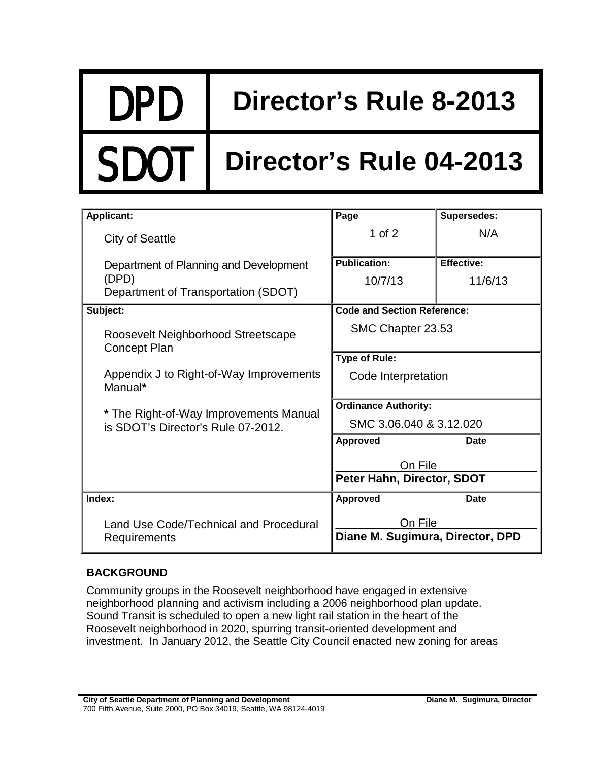# DPD **Director's Rule 8-2013**

# **Director's Rule 04-2013**

| <b>Applicant:</b>                                                            | Page                                  | <b>Supersedes:</b> |
|------------------------------------------------------------------------------|---------------------------------------|--------------------|
| <b>City of Seattle</b>                                                       | 1 of $2$                              | N/A                |
| Department of Planning and Development                                       | <b>Publication:</b>                   | <b>Effective:</b>  |
| (DPD)                                                                        | 10/7/13                               | 11/6/13            |
| Department of Transportation (SDOT)                                          |                                       |                    |
| Subject:                                                                     | <b>Code and Section Reference:</b>    |                    |
| Roosevelt Neighborhood Streetscape<br><b>Concept Plan</b>                    | SMC Chapter 23.53                     |                    |
|                                                                              | <b>Type of Rule:</b>                  |                    |
| Appendix J to Right-of-Way Improvements<br>Manual*                           | Code Interpretation                   |                    |
| * The Right-of-Way Improvements Manual<br>is SDOT's Director's Rule 07-2012. | <b>Ordinance Authority:</b>           |                    |
|                                                                              | SMC 3.06.040 & 3.12.020               |                    |
|                                                                              | Approved                              | <b>Date</b>        |
|                                                                              | On File<br>Peter Hahn, Director, SDOT |                    |
|                                                                              |                                       |                    |
| Index:                                                                       | Approved                              | <b>Date</b>        |
| Land Use Code/Technical and Procedural<br>Requirements                       | On File                               |                    |
|                                                                              | Diane M. Sugimura, Director, DPD      |                    |

## **BACKGROUND**

Community groups in the Roosevelt neighborhood have engaged in extensive neighborhood planning and activism including a 2006 neighborhood plan update. Sound Transit is scheduled to open a new light rail station in the heart of the Roosevelt neighborhood in 2020, spurring transit-oriented development and investment. In January 2012, the Seattle City Council enacted new zoning for areas